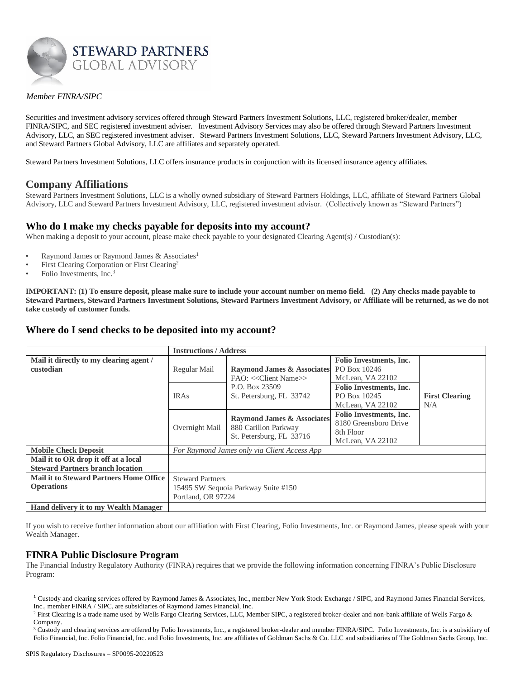

### *Member FINRA/SIPC*

Securities and investment advisory services offered through Steward Partners Investment Solutions, LLC, registered broker/dealer, member FINRA/SIPC, and SEC registered investment adviser. Investment Advisory Services may also be offered through Steward Partners Investment Advisory, LLC, an SEC registered investment adviser. Steward Partners Investment Solutions, LLC, Steward Partners Investment Advisory, LLC, and Steward Partners Global Advisory, LLC are affiliates and separately operated.

Steward Partners Investment Solutions, LLC offers insurance products in conjunction with its licensed insurance agency affiliates.

### **Company Affiliations**

Steward Partners Investment Solutions, LLC is a wholly owned subsidiary of Steward Partners Holdings, LLC, affiliate of Steward Partners Global Advisory, LLC and Steward Partners Investment Advisory, LLC, registered investment advisor. (Collectively known as "Steward Partners")

### **Who do I make my checks payable for deposits into my account?**

When making a deposit to your account, please make check payable to your designated Clearing Agent(s) / Custodian(s):

- Raymond James or Raymond James & Associates<sup>1</sup>
- First Clearing Corporation or First Clearing<sup>2</sup>
- Folio Investments, Inc.<sup>3</sup>

**IMPORTANT: (1) To ensure deposit, please make sure to include your account number on memo field. (2) Any checks made payable to Steward Partners, Steward Partners Investment Solutions, Steward Partners Investment Advisory, or Affiliate will be returned, as we do not take custody of customer funds.** 

### **Where do I send checks to be deposited into my account?**

|                                                                                 | <b>Instructions / Address</b>                                                                                                               |                                                                                           |                                                                                          |  |
|---------------------------------------------------------------------------------|---------------------------------------------------------------------------------------------------------------------------------------------|-------------------------------------------------------------------------------------------|------------------------------------------------------------------------------------------|--|
| Mail it directly to my clearing agent /<br>custodian                            | Regular Mail<br><b>Raymond James &amp; Associates</b><br>FAO: << Client Name>><br>P.O. Box 23509<br>St. Petersburg, FL 33742<br><b>IRAs</b> | <b>Folio Investments, Inc.</b><br>PO Box 10246<br>McLean, VA 22102                        | <b>First Clearing</b><br>N/A                                                             |  |
|                                                                                 |                                                                                                                                             | <b>Folio Investments, Inc.</b><br>PO Box 10245<br>McLean, VA 22102                        |                                                                                          |  |
|                                                                                 | Overnight Mail                                                                                                                              | <b>Raymond James &amp; Associates</b><br>880 Carillon Parkway<br>St. Petersburg, FL 33716 | <b>Folio Investments, Inc.</b><br>8180 Greensboro Drive<br>8th Floor<br>McLean, VA 22102 |  |
| <b>Mobile Check Deposit</b>                                                     | For Raymond James only via Client Access App                                                                                                |                                                                                           |                                                                                          |  |
| Mail it to OR drop it off at a local<br><b>Steward Partners branch location</b> |                                                                                                                                             |                                                                                           |                                                                                          |  |
| <b>Mail it to Steward Partners Home Office</b><br><b>Operations</b>             | <b>Steward Partners</b><br>15495 SW Sequoia Parkway Suite #150<br>Portland, OR 97224                                                        |                                                                                           |                                                                                          |  |
| <b>Hand delivery it to my Wealth Manager</b>                                    |                                                                                                                                             |                                                                                           |                                                                                          |  |

If you wish to receive further information about our affiliation with First Clearing, Folio Investments, Inc. or Raymond James, please speak with your Wealth Manager.

### **FINRA Public Disclosure Program**

The Financial Industry Regulatory Authority (FINRA) requires that we provide the following information concerning FINRA's Public Disclosure Program:

<sup>1</sup> Custody and clearing services offered by Raymond James & Associates, Inc., member New York Stock Exchange / SIPC, and Raymond James Financial Services, Inc., member FINRA / SIPC, are subsidiaries of Raymond James Financial, Inc.

<sup>&</sup>lt;sup>2</sup> First Clearing is a trade name used by Wells Fargo Clearing Services, LLC, Member SIPC, a registered broker-dealer and non-bank affiliate of Wells Fargo & Company.

<sup>&</sup>lt;sup>3</sup> Custody and clearing services are offered by Folio Investments, Inc., a registered broker-dealer and member FINRA/SIPC. Folio Investments, Inc. is a subsidiary of Folio Financial, Inc. Folio Financial, Inc. and Folio Investments, Inc. are affiliates of Goldman Sachs & Co. LLC and subsidiaries of The Goldman Sachs Group, Inc.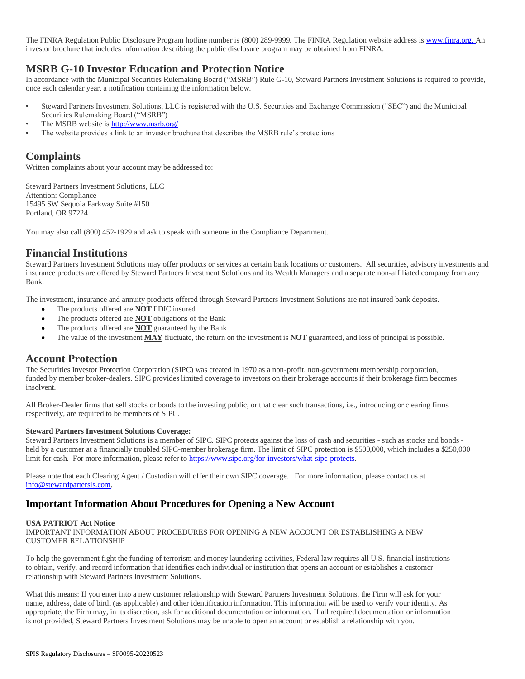The FINRA Regulation Public Disclosure Program hotline number is (800) 289-9999. The FINRA Regulation website address is www.finra.org. An investor brochure that includes information describing the public disclosure program may be obtained from FINRA.

# **MSRB G-10 Investor Education and Protection Notice**

In accordance with the Municipal Securities Rulemaking Board ("MSRB") Rule G-10, Steward Partners Investment Solutions is required to provide, once each calendar year, a notification containing the information below.

- Steward Partners Investment Solutions, LLC is registered with the U.S. Securities and Exchange Commission ("SEC") and the Municipal Securities Rulemaking Board ("MSRB")
- The MSRB website i[s http://www.msrb.org/](http://www.msrb.org/)
- The website provides a link to an investor brochure that describes the MSRB rule's protections

# **Complaints**

Written complaints about your account may be addressed to:

Steward Partners Investment Solutions, LLC Attention: Compliance 15495 SW Sequoia Parkway Suite #150 Portland, OR 97224

You may also call (800) 452-1929 and ask to speak with someone in the Compliance Department.

### **Financial Institutions**

Steward Partners Investment Solutions may offer products or services at certain bank locations or customers. All securities, advisory investments and insurance products are offered by Steward Partners Investment Solutions and its Wealth Managers and a separate non-affiliated company from any Bank.

The investment, insurance and annuity products offered through Steward Partners Investment Solutions are not insured bank deposits.

- The products offered are **NOT** FDIC insured
- The products offered are **NOT** obligations of the Bank
- The products offered are **NOT** guaranteed by the Bank
- The value of the investment **MAY** fluctuate, the return on the investment is **NOT** guaranteed, and loss of principal is possible.

# **Account Protection**

The Securities Investor Protection Corporation (SIPC) was created in 1970 as a non-profit, non-government membership corporation, funded by member broker-dealers. SIPC provides limited coverage to investors on their brokerage accounts if their brokerage firm becomes insolvent.

All Broker-Dealer firms that sell stocks or bonds to the investing public, or that clear such transactions, i.e., introducing or clearing firms respectively, are required to be members of SIPC.

#### **Steward Partners Investment Solutions Coverage:**

Steward Partners Investment Solutions is a member of SIPC. SIPC protects against the loss of cash and securities - such as stocks and bonds held by a customer at a financially troubled SIPC-member brokerage firm. The limit of SIPC protection is \$500,000, which includes a \$250,000 limit for cash. For more information, please refer t[o https://www.sipc.org/for-investors/what-sipc-protects.](https://www.sipc.org/for-investors/what-sipc-protects) 

Please note that each Clearing Agent / Custodian will offer their own SIPC coverage. For more information, please contact us at [info@stewardpartersis.com.](mailto:info@stewardpartersis.com)

### **Important Information About Procedures for Opening a New Account**

#### **USA PATRIOT Act Notice**

IMPORTANT INFORMATION ABOUT PROCEDURES FOR OPENING A NEW ACCOUNT OR ESTABLISHING A NEW CUSTOMER RELATIONSHIP

To help the government fight the funding of terrorism and money laundering activities, Federal law requires all U.S. financial institutions to obtain, verify, and record information that identifies each individual or institution that opens an account or establishes a customer relationship with Steward Partners Investment Solutions.

What this means: If you enter into a new customer relationship with Steward Partners Investment Solutions, the Firm will ask for your name, address, date of birth (as applicable) and other identification information. This information will be used to verify your identity. As appropriate, the Firm may, in its discretion, ask for additional documentation or information. If all required documentation or information is not provided, Steward Partners Investment Solutions may be unable to open an account or establish a relationship with you.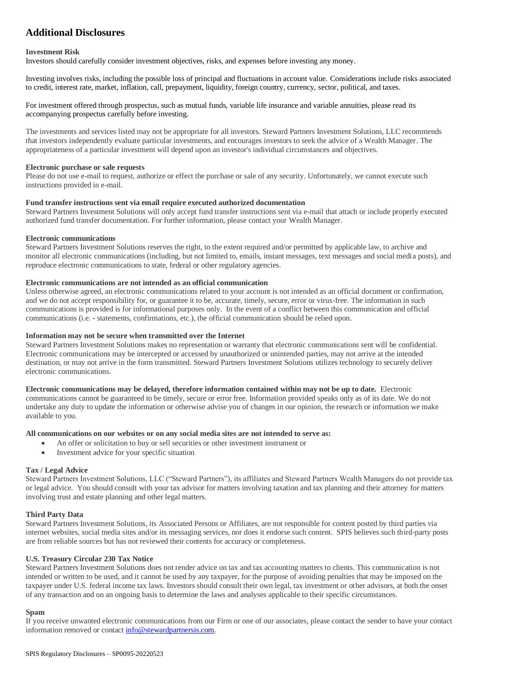# **Additional Disclosures**

#### **Investment Risk**

Investors should carefully consider investment objectives, risks, and expenses before investing any money.

Investing involves risks, including the possible loss of principal and fluctuations in account value. Considerations include risks associated to credit, interest rate, market, inflation, call, prepayment, liquidity, foreign country, currency, sector, political, and taxes.

For investment offered through prospectus, such as mutual funds, variable life insurance and variable annuities, please read its accompanying prospectus carefully before investing.

The investments and services listed may not be appropriate for all investors. Steward Partners Investment Solutions, LLC recommends that investors independently evaluate particular investments, and encourages investors to seek the advice of a Wealth Manager. The appropriateness of a particular investment will depend upon an investor's individual circumstances and objectives.

#### **Electronic purchase or sale requests**

Please do not use e-mail to request, authorize or effect the purchase or sale of any security. Unfortunately, we cannot execute such instructions provided in e-mail.

#### **Fund transfer instructions sent via email require executed authorized documentation**

Steward Partners Investment Solutions will only accept fund transfer instructions sent via e-mail that attach or include properly executed authorized fund transfer documentation. For further information, please contact your Wealth Manager.

#### **Electronic communications**

Steward Partners Investment Solutions reserves the right, to the extent required and/or permitted by applicable law, to archive and monitor all electronic communications (including, but not limited to, emails, instant messages, text messages and social media posts), and reproduce electronic communications to state, federal or other regulatory agencies.

#### **Electronic communications are not intended as an official communication**

Unless otherwise agreed, an electronic communications related to your account is not intended as an official document or confirmation, and we do not accept responsibility for, or guarantee it to be, accurate, timely, secure, error or virus-free. The information in such communications is provided is for informational purposes only. In the event of a conflict between this communication and official communications (i.e. - statements, confirmations, etc.), the official communication should be relied upon.

#### **Information may not be secure when transmitted over the Internet**

Steward Partners Investment Solutions makes no representation or warranty that electronic communications sent will be confidential. Electronic communications may be intercepted or accessed by unauthorized or unintended parties, may not arrive at the intended destination, or may not arrive in the form transmitted. Steward Partners Investment Solutions utilizes technology to securely deliver electronic communications.

**Electronic communications may be delayed, therefore information contained within may not be up to date.** Electronic communications cannot be guaranteed to be timely, secure or error free. Information provided speaks only as of its date. We do not undertake any duty to update the information or otherwise advise you of changes in our opinion, the research or information we make available to you.

#### **All communications on our websites or on any social media sites are not intended to serve as:**

- An offer or solicitation to buy or sell securities or other investment instrument or
- Investment advice for your specific situation

#### **Tax / Legal Advice**

Steward Partners Investment Solutions, LLC ("Steward Partners"), its affiliates and Steward Partners Wealth Managers do not provide tax or legal advice. You should consult with your tax advisor for matters involving taxation and tax planning and their attorney for matters involving trust and estate planning and other legal matters.

#### **Third Party Data**

Steward Partners Investment Solutions, its Associated Persons or Affiliates, are not responsible for content posted by third parties via internet websites, social media sites and/or its messaging services, nor does it endorse such content. SPIS believes such third-party posts are from reliable sources but has not reviewed their contents for accuracy or completeness.

#### **U.S. Treasury Circular 230 Tax Notice**

Steward Partners Investment Solutions does not render advice on tax and tax accounting matters to clients. This communication is not intended or written to be used, and it cannot be used by any taxpayer, for the purpose of avoiding penalties that may be imposed on the taxpayer under U.S. federal income tax laws. Investors should consult their own legal, tax investment or other advisors, at both the onset of any transaction and on an ongoing basis to determine the laws and analyses applicable to their specific circumstances.

#### **Spam**

If you receive unwanted electronic communications from our Firm or one of our associates, please contact the sender to have your contact information removed or contac[t info@stewardpartnersis.com.](mailto:info@stewardpartnersis.com)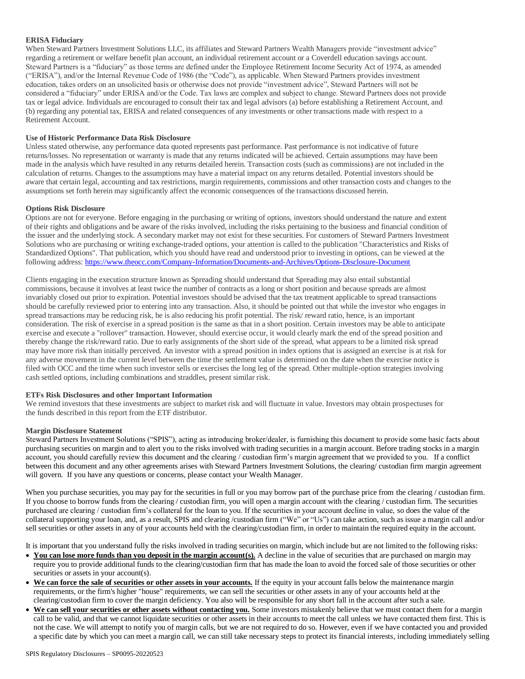#### **ERISA Fiduciary**

When Steward Partners Investment Solutions LLC, its affiliates and Steward Partners Wealth Managers provide "investment advice" regarding a retirement or welfare benefit plan account, an individual retirement account or a Coverdell education savings account. Steward Partners is a "fiduciary" as those terms are defined under the Employee Retirement Income Security Act of 1974, as amended ("ERISA"), and/or the Internal Revenue Code of 1986 (the "Code"), as applicable. When Steward Partners provides investment education, takes orders on an unsolicited basis or otherwise does not provide "investment advice", Steward Partners will not be considered a "fiduciary" under ERISA and/or the Code. Tax laws are complex and subject to change. Steward Partners does not provide tax or legal advice. Individuals are encouraged to consult their tax and legal advisors (a) before establishing a Retirement Account, and (b) regarding any potential tax, ERISA and related consequences of any investments or other transactions made with respect to a Retirement Account.

#### **Use of Historic Performance Data Risk Disclosure**

Unless stated otherwise, any performance data quoted represents past performance. Past performance is not indicative of future returns/losses. No representation or warranty is made that any returns indicated will be achieved. Certain assumptions may have been made in the analysis which have resulted in any returns detailed herein. Transaction costs (such as commissions) are not included in the calculation of returns. Changes to the assumptions may have a material impact on any returns detailed. Potential investors should be aware that certain legal, accounting and tax restrictions, margin requirements, commissions and other transaction costs and changes to the assumptions set forth herein may significantly affect the economic consequences of the transactions discussed herein.

#### **Options Risk Disclosure**

Options are not for everyone. Before engaging in the purchasing or writing of options, investors should understand the nature and extent of their rights and obligations and be aware of the risks involved, including the risks pertaining to the business and financial condition of the issuer and the underlying stock. A secondary market may not exist for these securities. For customers of Steward Partners Investment Solutions who are purchasing or writing exchange-traded options, your attention is called to the publication "Characteristics and Risks of Standardized Options". That publication, which you should have read and understood prior to investing in options, can be viewed at the following address: <https://www.theocc.com/Company-Information/Documents-and-Archives/Options-Disclosure-Document>

Clients engaging in the execution structure known as Spreading should understand that Spreading may also entail substantial commissions, because it involves at least twice the number of contracts as a long or short position and because spreads are almost invariably closed out prior to expiration. Potential investors should be advised that the tax treatment applicable to spread transactions should be carefully reviewed prior to entering into any transaction. Also, it should be pointed out that while the investor who engages in spread transactions may be reducing risk, he is also reducing his profit potential. The risk/ reward ratio, hence, is an important consideration. The risk of exercise in a spread position is the same as that in a short position. Certain investors may be able to anticipate exercise and execute a "rollover" transaction. However, should exercise occur, it would clearly mark the end of the spread position and thereby change the risk/reward ratio. Due to early assignments of the short side of the spread, what appears to be a limited risk spread may have more risk than initially perceived. An investor with a spread position in index options that is assigned an exercise is at risk for any adverse movement in the current level between the time the settlement value is determined on the date when the exercise notice is filed with OCC and the time when such investor sells or exercises the long leg of the spread. Other multiple-option strategies involving cash settled options, including combinations and straddles, present similar risk.

#### **ETFs Risk Disclosures and other Important Information**

We remind investors that these investments are subject to market risk and will fluctuate in value. Investors may obtain prospectuses for the funds described in this report from the ETF distributor.

#### **Margin Disclosure Statement**

Steward Partners Investment Solutions ("SPIS"), acting as introducing broker/dealer, is furnishing this document to provide some basic facts about purchasing securities on margin and to alert you to the risks involved with trading securities in a margin account. Before trading stocks in a margin account, you should carefully review this document and the clearing / custodian firm's margin agreement that we provided to you. If a conflict between this document and any other agreements arises with Steward Partners Investment Solutions, the clearing/ custodian firm margin agreement will govern. If you have any questions or concerns, please contact your Wealth Manager.

When you purchase securities, you may pay for the securities in full or you may borrow part of the purchase price from the clearing / custodian firm. If you choose to borrow funds from the clearing / custodian firm, you will open a margin account with the clearing / custodian firm. The securities purchased are clearing / custodian firm's collateral for the loan to you. If the securities in your account decline in value, so does the value of the collateral supporting your loan, and, as a result, SPIS and clearing /custodian firm ("We" or "Us") can take action, such as issue a margin call and/or sell securities or other assets in any of your accounts held with the clearing/custodian firm, in order to maintain the required equity in the account.

It is important that you understand fully the risks involved in trading securities on margin, which include but are not limited to the following risks:

- You can lose more funds than you deposit in the margin account(s). A decline in the value of securities that are purchased on margin may require you to provide additional funds to the clearing/custodian firm that has made the loan to avoid the forced sale of those securities or other securities or assets in your account(s).
- We can force the sale of securities or other assets in your accounts. If the equity in your account falls below the maintenance margin requirements, or the firm's higher "house" requirements, we can sell the securities or other assets in any of your accounts held at the clearing/custodian firm to cover the margin deficiency. You also will be responsible for any short fall in the account after such a sale.
- We can sell your securities or other assets without contacting you. Some investors mistakenly believe that we must contact them for a margin call to be valid, and that we cannot liquidate securities or other assets in their accounts to meet the call unless we have contacted them first. This is not the case. We will attempt to notify you of margin calls, but we are not required to do so. However, even if we have contacted you and provided a specific date by which you can meet a margin call, we can still take necessary steps to protect its financial interests, including immediately selling